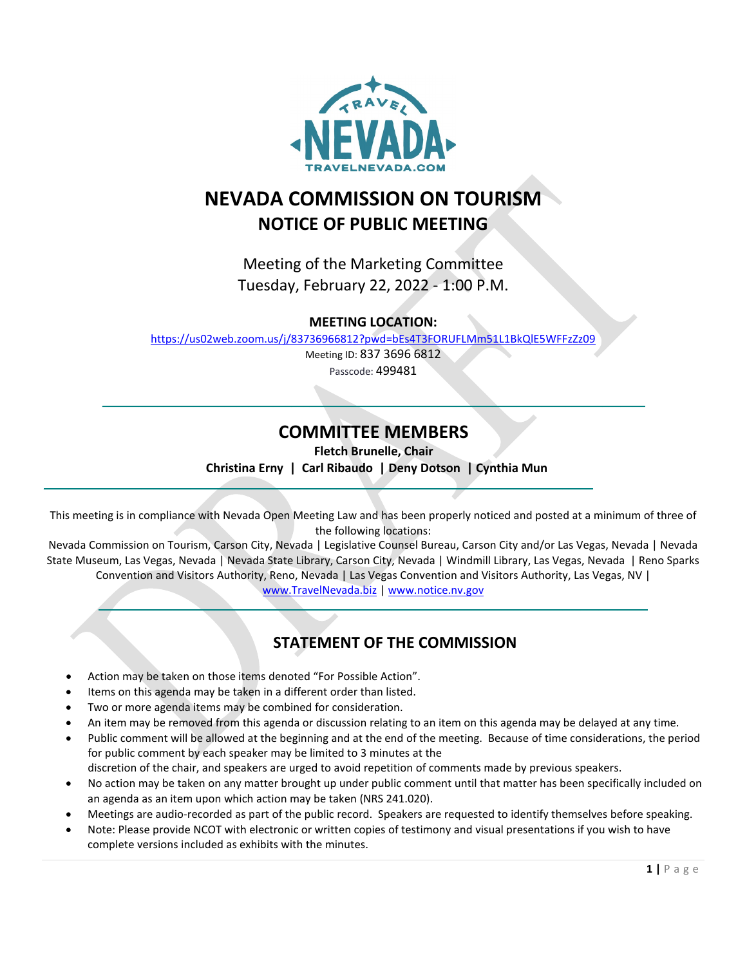

## **NEVADA COMMISSION ON TOURISM NOTICE OF PUBLIC MEETING**

Meeting of the Marketing Committee Tuesday, February 22, 2022 - 1:00 P.M.

**MEETING LOCATION:**

<https://us02web.zoom.us/j/83736966812?pwd=bEs4T3FORUFLMm51L1BkQlE5WFFzZz09>

Meeting ID: 837 3696 6812

Passcode: 499481

## **COMMITTEE MEMBERS**

\_\_\_\_\_\_\_\_\_\_\_\_\_\_\_\_\_\_\_\_\_\_\_\_\_\_\_\_\_\_\_\_\_\_\_\_\_\_\_\_\_\_\_\_\_\_\_\_\_\_\_\_\_\_\_\_\_\_\_\_\_\_\_\_\_\_\_\_\_\_\_\_\_\_\_\_\_\_\_\_\_\_\_\_\_\_\_\_\_

**Fletch Brunelle, Chair**

 **Christina Erny | Carl Ribaudo | Deny Dotson | Cynthia Mun** 

This meeting is in compliance with Nevada Open Meeting Law and has been properly noticed and posted at a minimum of three of the following locations:

 $\blacksquare$ 

Nevada Commission on Tourism, Carson City, Nevada | Legislative Counsel Bureau, Carson City and/or Las Vegas, Nevada | Nevada State Museum, Las Vegas, Nevada | Nevada State Library, Carson City, Nevada | Windmill Library, Las Vegas, Nevada | Reno Sparks Convention and Visitors Authority, Reno, Nevada | Las Vegas Convention and Visitors Authority, Las Vegas, NV |

[www.TravelNevada.biz](http://www.travelnevada.biz/) | [www.notice.nv.gov](http://www.notice.nv.gov/) \_\_\_\_\_\_\_\_\_\_\_\_\_\_\_\_\_\_\_\_\_\_\_\_\_\_\_\_\_\_\_\_\_\_\_\_\_\_\_\_\_\_\_\_\_\_\_\_\_\_\_\_\_\_\_\_\_\_\_\_\_\_\_\_\_\_\_\_\_\_\_\_\_\_\_\_\_\_\_\_\_\_\_\_\_\_\_\_\_\_

### **STATEMENT OF THE COMMISSION**

- Action may be taken on those items denoted "For Possible Action".
- Items on this agenda may be taken in a different order than listed.
- Two or more agenda items may be combined for consideration.
- An item may be removed from this agenda or discussion relating to an item on this agenda may be delayed at any time.
- Public comment will be allowed at the beginning and at the end of the meeting. Because of time considerations, the period for public comment by each speaker may be limited to 3 minutes at the
- discretion of the chair, and speakers are urged to avoid repetition of comments made by previous speakers.
- No action may be taken on any matter brought up under public comment until that matter has been specifically included on an agenda as an item upon which action may be taken (NRS 241.020).
- Meetings are audio-recorded as part of the public record. Speakers are requested to identify themselves before speaking.
- Note: Please provide NCOT with electronic or written copies of testimony and visual presentations if you wish to have complete versions included as exhibits with the minutes.